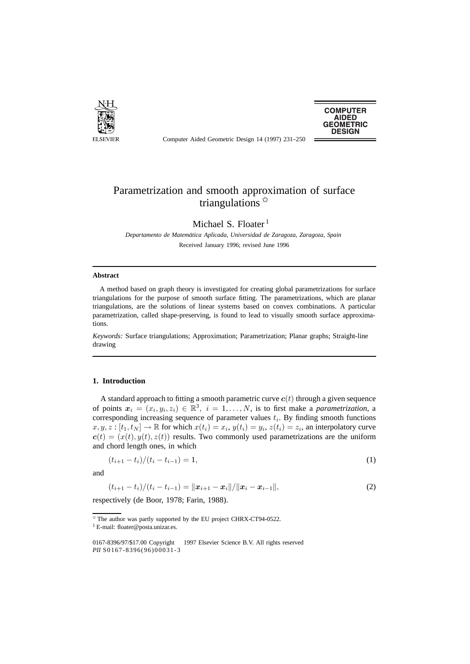

**COMPUTER AIDED GEOMETRIC DESIGN** 

Computer Aided Geometric Design 14 (1997) 231–250

# Parametrization and smooth approximation of surface triangulations  $\overrightarrow{x}$

Michael S. Floater<sup>1</sup>

*Departamento de Matematica Aplicada, Universidad de Zaragoza, Zaragoza, Spain ´* Received January 1996; revised June 1996

#### **Abstract**

A method based on graph theory is investigated for creating global parametrizations for surface triangulations for the purpose of smooth surface fitting. The parametrizations, which are planar triangulations, are the solutions of linear systems based on convex combinations. A particular parametrization, called shape-preserving, is found to lead to visually smooth surface approximations.

*Keywords:* Surface triangulations; Approximation; Parametrization; Planar graphs; Straight-line drawing

## **1. Introduction**

A standard approach to fitting a smooth parametric curve  $c(t)$  through a given sequence of points  $x_i = (x_i, y_i, z_i) \in \mathbb{R}^3$ ,  $i = 1, \ldots, N$ , is to first make a *parametrization*, a corresponding increasing sequence of parameter values  $t_i$ . By finding smooth functions  $x, y, z : [t_1, t_N] \to \mathbb{R}$  for which  $x(t_i) = x_i$ ,  $y(t_i) = y_i$ ,  $z(t_i) = z_i$ , an interpolatory curve  $c(t)=(x(t), y(t), z(t))$  results. Two commonly used parametrizations are the uniform and chord length ones, in which

$$
(t_{i+1} - t_i)/(t_i - t_{i-1}) = 1,
$$
\n(1)

and

$$
(t_{i+1}-t_i)/(t_i-t_{i-1})=\|\boldsymbol{x}_{i+1}-\boldsymbol{x}_i\|/\|\boldsymbol{x}_i-\boldsymbol{x}_{i-1}\|,
$$
\n(2)

respectively (de Boor, 1978; Farin, 1988).

 $*$  The author was partly supported by the EU project CHRX-CT94-0522. <sup>1</sup> E-mail: floater@posta.unizar.es.

<sup>0167-8396/97/\$17.00</sup> Copyright © 1997 Elsevier Science B.V. All rights reserved *PII* S0167-8396(96)00031-3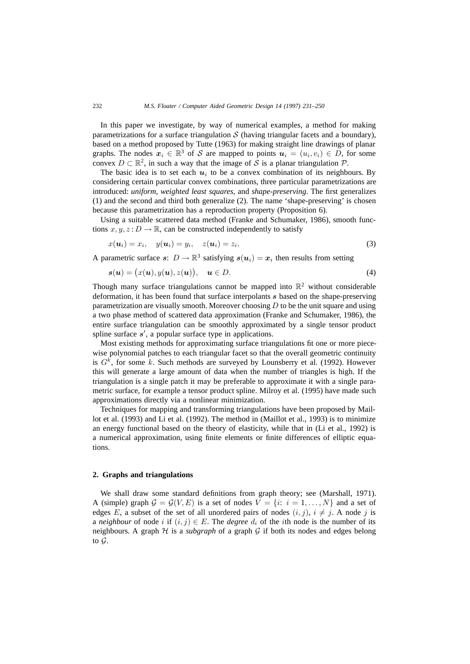In this paper we investigate, by way of numerical examples, a method for making parametrizations for a surface triangulation  $S$  (having triangular facets and a boundary), based on a method proposed by Tutte (1963) for making straight line drawings of planar graphs. The nodes  $x_i \in \mathbb{R}^3$  of S are mapped to points  $u_i = (u_i, v_i) \in D$ , for some convex  $D \subset \mathbb{R}^2$ , in such a way that the image of S is a planar triangulation P.

The basic idea is to set each  $u_i$  to be a convex combination of its neighbours. By considering certain particular convex combinations, three particular parametrizations are introduced: *uniform*, *weighted least squares*, and *shape-preserving*. The first generalizes (1) and the second and third both generalize (2). The name 'shape-preserving' is chosen because this parametrization has a reproduction property (Proposition 6).

Using a suitable scattered data method (Franke and Schumaker, 1986), smooth functions  $x, y, z: D \to \mathbb{R}$ , can be constructed independently to satisfy

$$
x(\mathbf{u}_i) = x_i, \quad y(\mathbf{u}_i) = y_i, \quad z(\mathbf{u}_i) = z_i.
$$
\n
$$
(3)
$$

A parametric surface *s*:  $D \to \mathbb{R}^3$  satisfying  $s(u_i) = x_i$  then results from setting

$$
\mathbf{s}(\mathbf{u}) = (x(\mathbf{u}), y(\mathbf{u}), z(\mathbf{u})), \quad \mathbf{u} \in D. \tag{4}
$$

Though many surface triangulations cannot be mapped into  $\mathbb{R}^2$  without considerable deformation, it has been found that surface interpolants *s* based on the shape-preserving parametrization are visually smooth. Moreover choosing  $D$  to be the unit square and using a two phase method of scattered data approximation (Franke and Schumaker, 1986), the entire surface triangulation can be smoothly approximated by a single tensor product spline surface  $s'$ , a popular surface type in applications.

Most existing methods for approximating surface triangulations fit one or more piecewise polynomial patches to each triangular facet so that the overall geometric continuity is  $G<sup>k</sup>$ , for some k. Such methods are surveyed by Lounsberry et al. (1992). However this will generate a large amount of data when the number of triangles is high. If the triangulation is a single patch it may be preferable to approximate it with a single parametric surface, for example a tensor product spline. Milroy et al. (1995) have made such approximations directly via a nonlinear minimization.

Techniques for mapping and transforming triangulations have been proposed by Maillot et al. (1993) and Li et al. (1992). The method in (Maillot et al., 1993) is to minimize an energy functional based on the theory of elasticity, while that in (Li et al., 1992) is a numerical approximation, using finite elements or finite differences of elliptic equations.

#### **2. Graphs and triangulations**

We shall draw some standard definitions from graph theory; see (Marshall, 1971). A (simple) graph  $G = G(V, E)$  is a set of nodes  $V = \{i: i = 1, ..., N\}$  and a set of edges E, a subset of the set of all unordered pairs of nodes  $(i, j)$ ,  $i \neq j$ . A node j is a *neighbour* of node i if  $(i, j) \in E$ . The *degree*  $d_i$  of the ith node is the number of its neighbours. A graph  $H$  is a *subgraph* of a graph  $G$  if both its nodes and edges belong to G.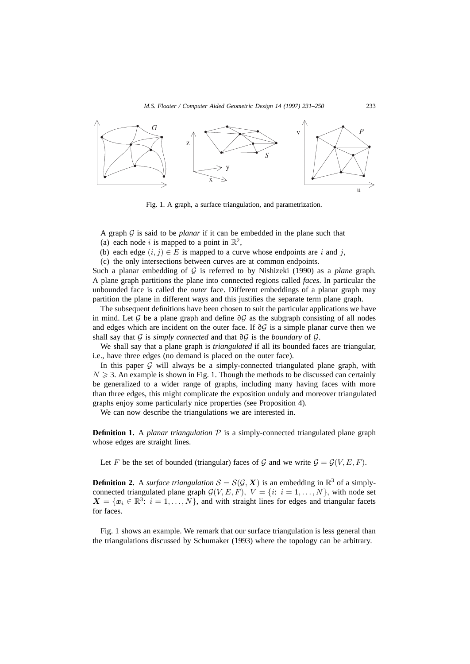

Fig. 1. A graph, a surface triangulation, and parametrization.

A graph  $G$  is said to be *planar* if it can be embedded in the plane such that (a) each node i is mapped to a point in  $\mathbb{R}^2$ ,

(b) each edge  $(i, j) \in E$  is mapped to a curve whose endpoints are i and j,

(c) the only intersections between curves are at common endpoints.

Such a planar embedding of G is referred to by Nishizeki (1990) as a *plane* graph. A plane graph partitions the plane into connected regions called *faces*. In particular the unbounded face is called the *outer* face. Different embeddings of a planar graph may partition the plane in different ways and this justifies the separate term plane graph.

The subsequent definitions have been chosen to suit the particular applications we have in mind. Let  $\mathcal G$  be a plane graph and define  $\partial \mathcal G$  as the subgraph consisting of all nodes and edges which are incident on the outer face. If ∂G is a simple planar curve then we shall say that G is *simply connected* and that ∂G is the *boundary* of G.

We shall say that a plane graph is *triangulated* if all its bounded faces are triangular, i.e., have three edges (no demand is placed on the outer face).

In this paper  $G$  will always be a simply-connected triangulated plane graph, with  $N \geqslant 3$ . An example is shown in Fig. 1. Though the methods to be discussed can certainly be generalized to a wider range of graphs, including many having faces with more than three edges, this might complicate the exposition unduly and moreover triangulated graphs enjoy some particularly nice properties (see Proposition 4).

We can now describe the triangulations we are interested in.

**Definition 1.** A *planar triangulation*  $P$  is a simply-connected triangulated plane graph whose edges are straight lines.

Let F be the set of bounded (triangular) faces of G and we write  $G = \mathcal{G}(V, E, F)$ .

**Definition 2.** A *surface triangulation*  $S = S(G, X)$  is an embedding in  $\mathbb{R}^3$  of a simplyconnected triangulated plane graph  $G(V, E, F)$ ,  $V = \{i: i = 1, ..., N\}$ , with node set  $X = \{x_i \in \mathbb{R}^3 : i = 1, ..., N\}$ , and with straight lines for edges and triangular facets for faces.

Fig. 1 shows an example. We remark that our surface triangulation is less general than the triangulations discussed by Schumaker (1993) where the topology can be arbitrary.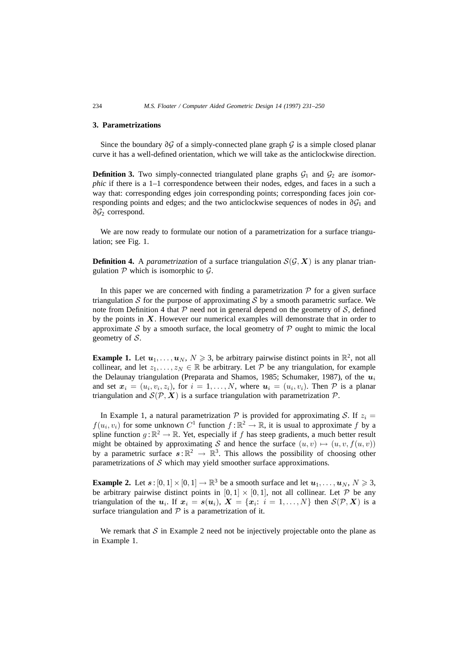### **3. Parametrizations**

Since the boundary  $\partial \mathcal{G}$  of a simply-connected plane graph  $\mathcal{G}$  is a simple closed planar curve it has a well-defined orientation, which we will take as the anticlockwise direction.

**Definition 3.** Two simply-connected triangulated plane graphs  $G_1$  and  $G_2$  are *isomorphic* if there is a 1–1 correspondence between their nodes, edges, and faces in a such a way that: corresponding edges join corresponding points; corresponding faces join corresponding points and edges; and the two anticlockwise sequences of nodes in  $\partial \mathcal{G}_1$  and ∂G<sup>2</sup> correspond.

We are now ready to formulate our notion of a parametrization for a surface triangulation; see Fig. 1.

**Definition 4.** A *parametrization* of a surface triangulation  $S(G, X)$  is any planar triangulation  $P$  which is isomorphic to  $G$ .

In this paper we are concerned with finding a parametrization  $P$  for a given surface triangulation S for the purpose of approximating S by a smooth parametric surface. We note from Definition 4 that  $P$  need not in general depend on the geometry of  $S$ , defined by the points in  $X$ . However our numerical examples will demonstrate that in order to approximate S by a smooth surface, the local geometry of  $P$  ought to mimic the local geometry of S.

**Example 1.** Let  $u_1, \ldots, u_N, N \geq 3$ , be arbitrary pairwise distinct points in  $\mathbb{R}^2$ , not all collinear, and let  $z_1, \ldots, z_N \in \mathbb{R}$  be arbitrary. Let  $\mathcal P$  be any triangulation, for example the Delaunay triangulation (Preparata and Shamos, 1985; Schumaker, 1987), of the  $u_i$ and set  $x_i = (u_i, v_i, z_i)$ , for  $i = 1, ..., N$ , where  $u_i = (u_i, v_i)$ . Then  $P$  is a planar triangulation and  $S(\mathcal{P}, \mathbf{X})$  is a surface triangulation with parametrization  $\mathcal{P}$ .

In Example 1, a natural parametrization  $P$  is provided for approximating S. If  $z_i =$  $f(u_i, v_i)$  for some unknown  $C^1$  function  $f : \mathbb{R}^2 \to \mathbb{R}$ , it is usual to approximate f by a spline function  $g : \mathbb{R}^2 \to \mathbb{R}$ . Yet, especially if f has steep gradients, a much better result might be obtained by approximating S and hence the surface  $(u, v) \mapsto (u, v, f(u, v))$ by a parametric surface  $s : \mathbb{R}^2 \to \mathbb{R}^3$ . This allows the possibility of choosing other parametrizations of  $S$  which may yield smoother surface approximations.

**Example 2.** Let  $s : [0, 1] \times [0, 1] \rightarrow \mathbb{R}^3$  be a smooth surface and let  $u_1, \ldots, u_N, N \ge 3$ , be arbitrary pairwise distinct points in  $[0, 1] \times [0, 1]$ , not all collinear. Let P be any triangulation of the  $u_i$ . If  $x_i = s(u_i)$ ,  $X = \{x_i: i = 1, ..., N\}$  then  $S(\mathcal{P}, X)$  is a surface triangulation and  $P$  is a parametrization of it.

We remark that  $S$  in Example 2 need not be injectively projectable onto the plane as in Example 1.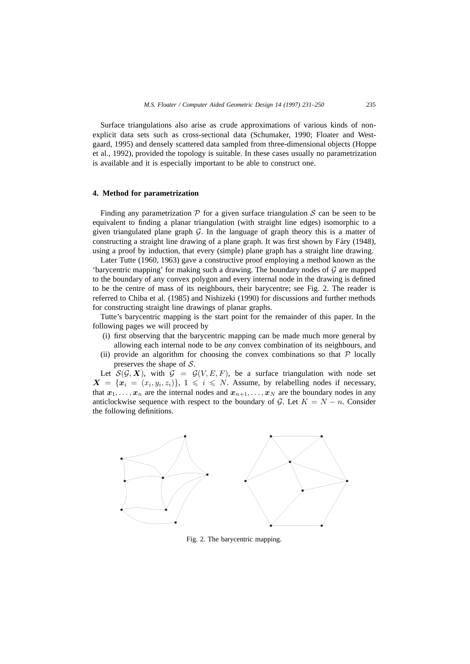Surface triangulations also arise as crude approximations of various kinds of nonexplicit data sets such as cross-sectional data (Schumaker, 1990; Floater and Westgaard, 1995) and densely scattered data sampled from three-dimensional objects (Hoppe et al., 1992), provided the topology is suitable. In these cases usually no parametrization is available and it is especially important to be able to construct one.

# **4. Method for parametrization**

Finding any parametrization  $P$  for a given surface triangulation S can be seen to be equivalent to finding a planar triangulation (with straight line edges) isomorphic to a given triangulated plane graph  $G$ . In the language of graph theory this is a matter of constructing a straight line drawing of a plane graph. It was first shown by Fáry  $(1948)$ , using a proof by induction, that every (simple) plane graph has a straight line drawing.

Later Tutte (1960, 1963) gave a constructive proof employing a method known as the 'barycentric mapping' for making such a drawing. The boundary nodes of  $\mathcal G$  are mapped to the boundary of any convex polygon and every internal node in the drawing is defined to be the centre of mass of its neighbours, their barycentre; see Fig. 2. The reader is referred to Chiba et al. (1985) and Nishizeki (1990) for discussions and further methods for constructing straight line drawings of planar graphs.

Tutte's barycentric mapping is the start point for the remainder of this paper. In the following pages we will proceed by

- (i) first observing that the barycentric mapping can be made much more general by allowing each internal node to be *any* convex combination of its neighbours, and
- (ii) provide an algorithm for choosing the convex combinations so that  $P$  locally preserves the shape of S.

Let  $S(G, X)$ , with  $G = G(V, E, F)$ , be a surface triangulation with node set  $X = \{x_i = (x_i, y_i, z_i)\}\$ ,  $1 \leq i \leq N$ . Assume, by relabelling nodes if necessary, that  $x_1, \ldots, x_n$  are the internal nodes and  $x_{n+1}, \ldots, x_N$  are the boundary nodes in any anticlockwise sequence with respect to the boundary of G. Let  $K = N - n$ . Consider the following definitions.



Fig. 2. The barycentric mapping.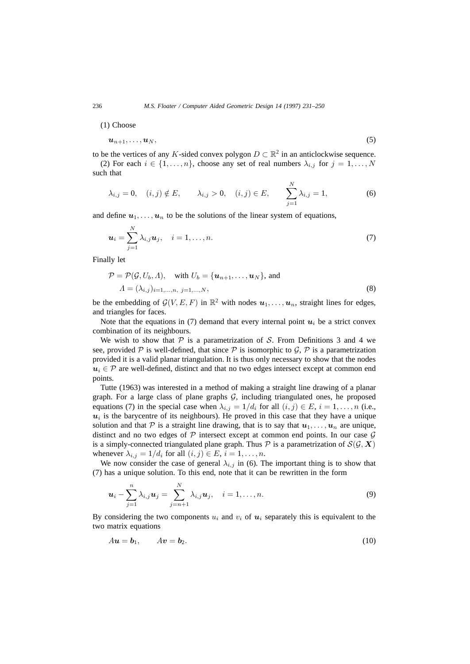(1) Choose

$$
u_{n+1},\ldots,u_N,\tag{5}
$$

to be the vertices of any K-sided convex polygon  $D \subset \mathbb{R}^2$  in an anticlockwise sequence. (2) For each  $i \in \{1, \ldots, n\}$ , choose any set of real numbers  $\lambda_{i,j}$  for  $j = 1, \ldots, N$ such that

$$
\lambda_{i,j} = 0, \quad (i,j) \notin E, \qquad \lambda_{i,j} > 0, \quad (i,j) \in E, \qquad \sum_{j=1}^{N} \lambda_{i,j} = 1,
$$
\n(6)

and define  $u_1, \ldots, u_n$  to be the solutions of the linear system of equations,

$$
\boldsymbol{u}_i = \sum_{j=1}^N \lambda_{i,j} \boldsymbol{u}_j, \quad i = 1, \dots, n. \tag{7}
$$

Finally let

$$
\mathcal{P} = \mathcal{P}(\mathcal{G}, U_b, \Lambda), \quad \text{with } U_b = \{u_{n+1}, \dots, u_N\}, \text{ and}
$$

$$
\Lambda = (\lambda_{i,j})_{i=1,\dots,n, j=1,\dots,N}, \tag{8}
$$

be the embedding of  $\mathcal{G}(V, E, F)$  in  $\mathbb{R}^2$  with nodes  $u_1, \ldots, u_n$ , straight lines for edges, and triangles for faces.

Note that the equations in (7) demand that every internal point  $u_i$  be a strict convex combination of its neighbours.

We wish to show that  $P$  is a parametrization of S. From Definitions 3 and 4 we see, provided P is well-defined, that since P is isomorphic to G, P is a parametrization provided it is a valid planar triangulation. It is thus only necessary to show that the nodes  $u_i \in \mathcal{P}$  are well-defined, distinct and that no two edges intersect except at common end points.

Tutte (1963) was interested in a method of making a straight line drawing of a planar graph. For a large class of plane graphs  $G$ , including triangulated ones, he proposed equations (7) in the special case when  $\lambda_{i,j} = 1/d_i$  for all  $(i,j) \in E$ ,  $i = 1, \ldots, n$  (i.e.,  $u_i$  is the barycentre of its neighbours). He proved in this case that they have a unique solution and that P is a straight line drawing, that is to say that  $u_1, \ldots, u_n$  are unique, distinct and no two edges of  $P$  intersect except at common end points. In our case  $G$ is a simply-connected triangulated plane graph. Thus  $P$  is a parametrization of  $S(G, X)$ whenever  $\lambda_{i,j} = 1/d_i$  for all  $(i, j) \in E$ ,  $i = 1, \ldots, n$ .

We now consider the case of general  $\lambda_{i,j}$  in (6). The important thing is to show that (7) has a unique solution. To this end, note that it can be rewritten in the form

$$
\boldsymbol{u}_i - \sum_{j=1}^n \lambda_{i,j} \boldsymbol{u}_j = \sum_{j=n+1}^N \lambda_{i,j} \boldsymbol{u}_j, \quad i = 1, \dots, n.
$$
 (9)

By considering the two components  $u_i$  and  $v_i$  of  $u_i$  separately this is equivalent to the two matrix equations

$$
A\mathbf{u} = \mathbf{b}_1, \qquad A\mathbf{v} = \mathbf{b}_2. \tag{10}
$$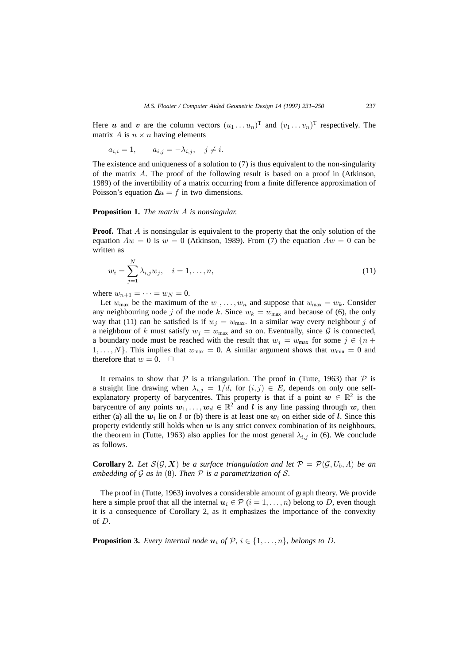Here *u* and *v* are the column vectors  $(u_1 \dots u_n)^\text{T}$  and  $(v_1 \dots v_n)^\text{T}$  respectively. The matrix A is  $n \times n$  having elements

$$
a_{i,i} = 1, \qquad a_{i,j} = -\lambda_{i,j}, \quad j \neq i.
$$

The existence and uniqueness of a solution to (7) is thus equivalent to the non-singularity of the matrix A. The proof of the following result is based on a proof in (Atkinson, 1989) of the invertibility of a matrix occurring from a finite difference approximation of Poisson's equation  $\Delta u = f$  in two dimensions.

#### **Proposition 1.** *The matrix* A *is nonsingular.*

**Proof.** That A is nonsingular is equivalent to the property that the only solution of the equation  $Aw = 0$  is  $w = 0$  (Atkinson, 1989). From (7) the equation  $Aw = 0$  can be written as

$$
w_i = \sum_{j=1}^{N} \lambda_{i,j} w_j, \quad i = 1, \dots, n,
$$
\n(11)

where  $w_{n+1} = \cdots = w_N = 0$ .

N

Let  $w_{\text{max}}$  be the maximum of the  $w_1, \ldots, w_n$  and suppose that  $w_{\text{max}} = w_k$ . Consider any neighbouring node j of the node k. Since  $w_k = w_{\text{max}}$  and because of (6), the only way that (11) can be satisfied is if  $w_j = w_{\text{max}}$ . In a similar way every neighbour j of a neighbour of k must satisfy  $w_j = w_{\text{max}}$  and so on. Eventually, since G is connected, a boundary node must be reached with the result that  $w_j = w_{\text{max}}$  for some  $j \in \{n +$  $1, \ldots, N$ . This implies that  $w_{\text{max}} = 0$ . A similar argument shows that  $w_{\text{min}} = 0$  and therefore that  $w = 0$ .  $\Box$ 

It remains to show that  $P$  is a triangulation. The proof in (Tutte, 1963) that  $P$  is a straight line drawing when  $\lambda_{i,j} = 1/d_i$  for  $(i,j) \in E$ , depends on only one selfexplanatory property of barycentres. This property is that if a point  $w \in \mathbb{R}^2$  is the barycentre of any points  $w_1, \ldots, w_d \in \mathbb{R}^2$  and *l* is any line passing through *w*, then either (a) all the  $w_i$  lie on *l* or (b) there is at least one  $w_i$  on either side of *l*. Since this property evidently still holds when *w* is any strict convex combination of its neighbours, the theorem in (Tutte, 1963) also applies for the most general  $\lambda_{i,j}$  in (6). We conclude as follows.

**Corollary 2.** Let  $S(G, X)$  be a surface triangulation and let  $P = P(G, U_b, \Lambda)$  be an *embedding of* G *as in* (8)*. Then* P *is a parametrization of* S*.*

The proof in (Tutte, 1963) involves a considerable amount of graph theory. We provide here a simple proof that all the internal  $u_i \in \mathcal{P}$  ( $i = 1, \ldots, n$ ) belong to D, even though it is a consequence of Corollary 2, as it emphasizes the importance of the convexity of D.

**Proposition 3.** *Every internal node*  $u_i$  *of*  $P$ *,*  $i \in \{1, \ldots, n\}$ *, belongs to D*.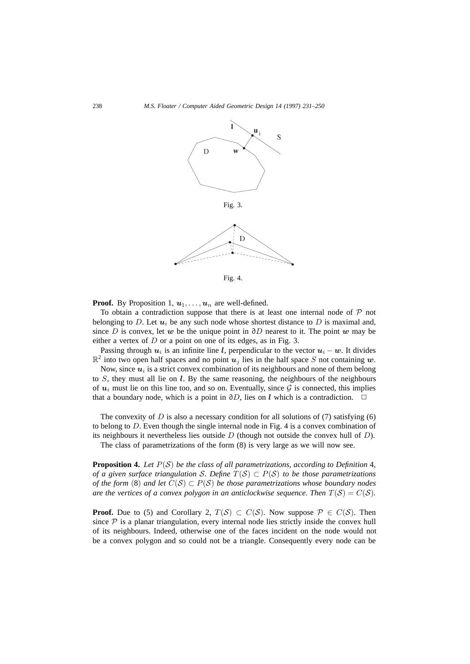

**Proof.** By Proposition 1,  $u_1, \ldots, u_n$  are well-defined.

To obtain a contradiction suppose that there is at least one internal node of  $P$  not belonging to D. Let  $u_i$  be any such node whose shortest distance to D is maximal and, since D is convex, let *w* be the unique point in ∂D nearest to it. The point *w* may be either a vertex of  $D$  or a point on one of its edges, as in Fig. 3.

Passing through  $u_i$  is an infinite line *l*, perpendicular to the vector  $u_i - w$ . It divides  $\mathbb{R}^2$  into two open half spaces and no point  $u_j$  lies in the half space S not containing w.

Now, since  $u_i$  is a strict convex combination of its neighbours and none of them belong to S, they must all lie on *l*. By the same reasoning, the neighbours of the neighbours of  $u_i$  must lie on this line too, and so on. Eventually, since  $\mathcal G$  is connected, this implies that a boundary node, which is a point in  $\partial D$ , lies on *l* which is a contradiction.  $\Box$ 

The convexity of  $D$  is also a necessary condition for all solutions of (7) satisfying (6) to belong to D. Even though the single internal node in Fig. 4 is a convex combination of its neighbours it nevertheless lies outside  $D$  (though not outside the convex hull of  $D$ ). The class of parametrizations of the form (8) is very large as we will now see.

**Proposition 4.** Let  $P(S)$  be the class of all parametrizations, according to Definition 4,

*of a given surface triangulation* S. Define  $T(S) \subset P(S)$  to be those parametrizations *of the form* (8) *and let*  $C(S) \subset P(S)$  *be those parametrizations whose boundary nodes are the vertices of a convex polygon in an anticlockwise sequence. Then*  $T(S) = C(S)$ .

**Proof.** Due to (5) and Corollary 2,  $T(S) \subset C(S)$ . Now suppose  $P \in C(S)$ . Then since  $P$  is a planar triangulation, every internal node lies strictly inside the convex hull of its neighbours. Indeed, otherwise one of the faces incident on the node would not be a convex polygon and so could not be a triangle. Consequently every node can be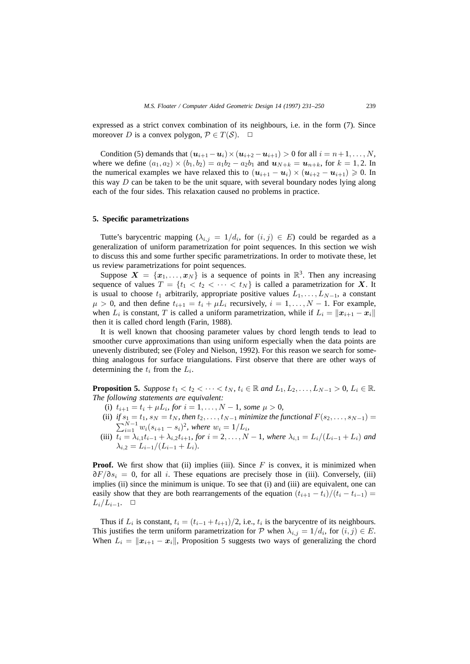expressed as a strict convex combination of its neighbours, i.e. in the form (7). Since moreover D is a convex polygon,  $P \in T(S)$ .  $\Box$ 

Condition (5) demands that  $(\mathbf{u}_{i+1} - \mathbf{u}_i) \times (\mathbf{u}_{i+2} - \mathbf{u}_{i+1}) > 0$  for all  $i = n+1, \ldots, N$ , where we define  $(a_1, a_2) \times (b_1, b_2) = a_1b_2 - a_2b_1$  and  $u_{N+k} = u_{n+k}$ , for  $k = 1, 2$ . In the numerical examples we have relaxed this to  $(u_{i+1} - u_i) \times (u_{i+2} - u_{i+1}) \geq 0$ . In this way  $D$  can be taken to be the unit square, with several boundary nodes lying along each of the four sides. This relaxation caused no problems in practice.

#### **5. Specific parametrizations**

Tutte's barycentric mapping  $(\lambda_{i,j} = 1/d_i)$ , for  $(i,j) \in E$ ) could be regarded as a generalization of uniform parametrization for point sequences. In this section we wish to discuss this and some further specific parametrizations. In order to motivate these, let us review parametrizations for point sequences.

Suppose  $X = \{x_1, \ldots, x_N\}$  is a sequence of points in  $\mathbb{R}^3$ . Then any increasing sequence of values  $T = \{t_1 < t_2 < \cdots < t_N\}$  is called a parametrization for X. It is usual to choose  $t_1$  arbitrarily, appropriate positive values  $L_1, \ldots, L_{N-1}$ , a constant  $\mu > 0$ , and then define  $t_{i+1} = t_i + \mu L_i$  recursively,  $i = 1, ..., N - 1$ . For example, when  $L_i$  is constant, T is called a uniform parametrization, while if  $L_i = ||x_{i+1} - x_i||$ then it is called chord length (Farin, 1988).

It is well known that choosing parameter values by chord length tends to lead to smoother curve approximations than using uniform especially when the data points are unevenly distributed; see (Foley and Nielson, 1992). For this reason we search for something analogous for surface triangulations. First observe that there are other ways of determining the  $t_i$  from the  $L_i$ .

**Proposition 5.** *Suppose*  $t_1 < t_2 < \cdots < t_N$ ,  $t_i \in \mathbb{R}$  and  $L_1, L_2, \ldots, L_{N-1} > 0$ ,  $L_i \in \mathbb{R}$ . *The following statements are equivalent:*

- (i)  $t_{i+1} = t_i + \mu L_i$ *, for*  $i = 1, ..., N 1$ *, some*  $\mu > 0$ *,*
- (ii) *if*  $s_1 = t_1$ ,  $s_N = t_N$ , then  $t_2, \ldots, t_{N-1}$  *minimize the functional*  $F(s_2, \ldots, s_{N-1}) =$  $\sum_{i=1}^{N-1} w_i (s_{i+1} - s_i)^2$ , where  $w_i = 1/L_i$ ,
- (iii)  $t_i = \lambda_{i,1} t_{i-1} + \lambda_{i,2} t_{i+1}$ , for  $i = 2, ..., N-1$ , where  $\lambda_{i,1} = L_i/(L_{i-1} + L_i)$  and  $\lambda_{i,2} = L_{i-1}/(L_{i-1} + L_i).$

**Proof.** We first show that (ii) implies (iii). Since  $F$  is convex, it is minimized when  $\partial F/\partial s_i = 0$ , for all i. These equations are precisely those in (iii). Conversely, (iii) implies (ii) since the minimum is unique. To see that (i) and (iii) are equivalent, one can easily show that they are both rearrangements of the equation  $(t_{i+1} - t_i)/(t_i - t_{i-1})$  $L_i/L_{i-1}$ . □

Thus if  $L_i$  is constant,  $t_i = (t_{i-1} + t_{i+1})/2$ , i.e.,  $t_i$  is the barycentre of its neighbours. This justifies the term uniform parametrization for  $P$  when  $\lambda_{i,j} = 1/d_i$ , for  $(i, j) \in E$ . When  $L_i = ||x_{i+1} - x_i||$ , Proposition 5 suggests two ways of generalizing the chord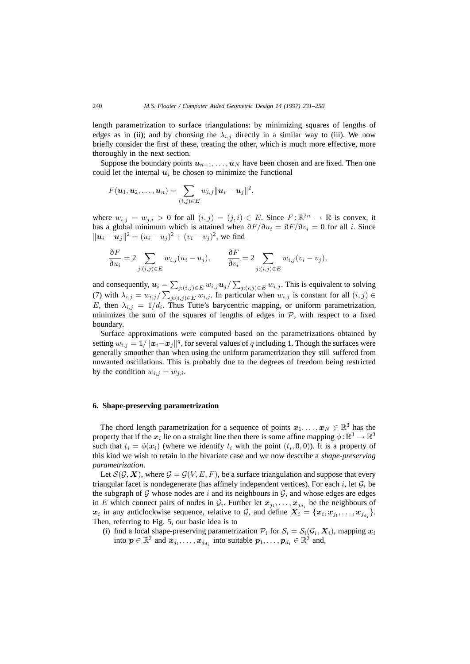length parametrization to surface triangulations: by minimizing squares of lengths of edges as in (ii); and by choosing the  $\lambda_{i,j}$  directly in a similar way to (iii). We now briefly consider the first of these, treating the other, which is much more effective, more thoroughly in the next section.

Suppose the boundary points  $u_{n+1}, \ldots, u_N$  have been chosen and are fixed. Then one could let the internal  $u_i$  be chosen to minimize the functional

$$
F(\boldsymbol{u}_1,\boldsymbol{u}_2,\ldots,\boldsymbol{u}_n)=\sum_{(i,j)\in E}w_{i,j}\|\boldsymbol{u}_i-\boldsymbol{u}_j\|^2,
$$

where  $w_{i,j} = w_{j,i} > 0$  for all  $(i, j) = (j, i) \in E$ . Since  $F : \mathbb{R}^{2n} \to \mathbb{R}$  is convex, it has a global minimum which is attained when  $\partial F/\partial u_i = \partial F/\partial v_i = 0$  for all i. Since  $||u_i - u_j||^2 = (u_i - u_j)^2 + (v_i - v_j)^2$ , we find

$$
\frac{\partial F}{\partial u_i} = 2 \sum_{j:(i,j)\in E} w_{i,j}(u_i - u_j), \qquad \frac{\partial F}{\partial v_i} = 2 \sum_{j:(i,j)\in E} w_{i,j}(v_i - v_j),
$$

and consequently,  $u_i = \sum_{j:(i,j)\in E} w_{i,j} u_j / \sum_{j:(i,j)\in E} w_{i,j}$ . This is equivalent to solving (7) with  $\lambda_{i,j} = w_{i,j} / \sum_{j:(i,j) \in E} w_{i,j}$ . In particular when  $w_{i,j}$  is constant for all  $(i,j) \in E$ E, then  $\lambda_{i,j} = 1/d_i$ . Thus Tutte's barycentric mapping, or uniform parametrization, minimizes the sum of the squares of lengths of edges in  $P$ , with respect to a fixed boundary.

Surface approximations were computed based on the parametrizations obtained by setting  $w_{i,j} = 1/||x_i - x_j||^q$ , for several values of q including 1. Though the surfaces were generally smoother than when using the uniform parametrization they still suffered from unwanted oscillations. This is probably due to the degrees of freedom being restricted by the condition  $w_{i,j} = w_{j,i}$ .

#### **6. Shape-preserving parametrization**

The chord length parametrization for a sequence of points  $x_1, \ldots, x_N \in \mathbb{R}^3$  has the property that if the  $x_i$  lie on a straight line then there is some affine mapping  $\phi : \mathbb{R}^3 \to \mathbb{R}^3$ such that  $t_i = \phi(\mathbf{x}_i)$  (where we identify  $t_i$  with the point  $(t_i, 0, 0)$ ). It is a property of this kind we wish to retain in the bivariate case and we now describe a *shape-preserving parametrization*.

Let  $\mathcal{S}(\mathcal{G}, \mathbf{X})$ , where  $\mathcal{G} = \mathcal{G}(V, E, F)$ , be a surface triangulation and suppose that every triangular facet is nondegenerate (has affinely independent vertices). For each i, let  $\mathcal{G}_i$  be the subgraph of  $G$  whose nodes are i and its neighbours in  $G$ , and whose edges are edges in E which connect pairs of nodes in  $\mathcal{G}_i$ . Further let  $x_{j_1}, \ldots, x_{j_{d_i}}$  be the neighbours of  $x_i$  in any anticlockwise sequence, relative to  $G$ , and define  $X_i = \{x_i, x_{j_1}, \ldots, x_{j_{d_i}}\}.$ Then, referring to Fig. 5, our basic idea is to

(i) find a local shape-preserving parametrization  $P_i$  for  $S_i = S_i(G_i, X_i)$ , mapping  $x_i$ into  $p \in \mathbb{R}^2$  and  $x_{j_1}, \ldots, x_{j_d}$  into suitable  $p_1, \ldots, p_{d_i} \in \mathbb{R}^2$  and,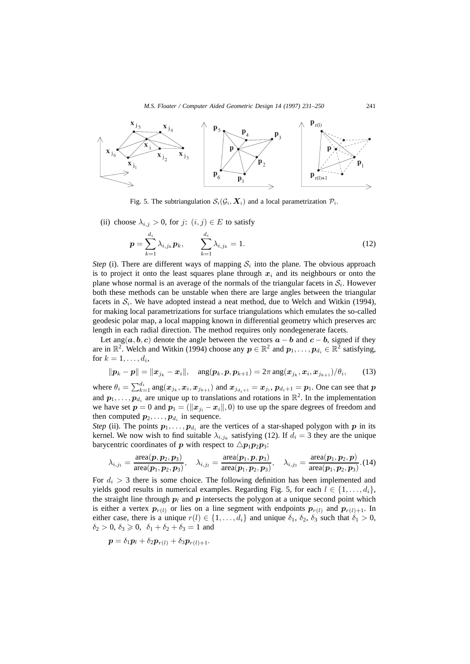

Fig. 5. The subtriangulation  $S_i(\mathcal{G}_i, \mathbf{X}_i)$  and a local parametrization  $\mathcal{P}_i$ .

(ii) choose  $\lambda_{i,j} > 0$ , for j:  $(i, j) \in E$  to satisfy

$$
p = \sum_{k=1}^{d_i} \lambda_{i,j_k} p_k, \qquad \sum_{k=1}^{d_i} \lambda_{i,j_k} = 1.
$$
 (12)

*Step* (i). There are different ways of mapping  $S_i$  into the plane. The obvious approach is to project it onto the least squares plane through  $x_i$  and its neighbours or onto the plane whose normal is an average of the normals of the triangular facets in  $S_i$ . However both these methods can be unstable when there are large angles between the triangular facets in  $S_i$ . We have adopted instead a neat method, due to Welch and Witkin (1994), for making local parametrizations for surface triangulations which emulates the so-called geodesic polar map, a local mapping known in differential geometry which preserves arc length in each radial direction. The method requires only nondegenerate facets.

Let ang( $a, b, c$ ) denote the angle between the vectors  $a - b$  and  $c - b$ , signed if they are in  $\mathbb{R}^2$ . Welch and Witkin (1994) choose any  $p \in \mathbb{R}^2$  and  $p_1, \ldots, p_{d_i} \in \mathbb{R}^2$  satisfying, for  $k = 1, \ldots, d_i$ ,

$$
\|\boldsymbol{p}_k-\boldsymbol{p}\|=\|\boldsymbol{x}_{j_k}-\boldsymbol{x}_i\|,\quad \text{ang}(\boldsymbol{p}_k,\boldsymbol{p},\boldsymbol{p}_{k+1})=2\pi\,\text{ang}(\boldsymbol{x}_{j_k},\boldsymbol{x}_i,\boldsymbol{x}_{j_{k+1}})/\theta_i,\qquad(13)
$$

where  $\theta_i = \sum_{k=1}^{d_i} \arg(x_{j_k}, x_i, x_{j_{k+1}})$  and  $x_{j_{d_i+1}} = x_{j_1}, p_{d_i+1} = p_1$ . One can see that *p* and  $p_1, \ldots, p_{d_i}$  are unique up to translations and rotations in  $\mathbb{R}^2$ . In the implementation we have set  $p = 0$  and  $p_1 = (\Vert x_{j1} - x_i \Vert, 0)$  to use up the spare degrees of freedom and then computed  $p_2, \ldots, p_{d_i}$  in sequence.

*Step* (ii). The points  $p_1, \ldots, p_{d_i}$  are the vertices of a star-shaped polygon with *p* in its kernel. We now wish to find suitable  $\lambda_{i,j_k}$  satisfying (12). If  $d_i = 3$  they are the unique barycentric coordinates of *p* with respect to  $\triangle p_1 p_2 p_3$ :

$$
\lambda_{i,j_1} = \frac{\operatorname{area}(\bm{p},\bm{p}_2,\bm{p}_3)}{\operatorname{area}(\bm{p}_1,\bm{p}_2,\bm{p}_3)}, \quad \lambda_{i,j_2} = \frac{\operatorname{area}(\bm{p}_1,\bm{p},\bm{p}_3)}{\operatorname{area}(\bm{p}_1,\bm{p}_2,\bm{p}_3)}, \quad \lambda_{i,j_3} = \frac{\operatorname{area}(\bm{p}_1,\bm{p}_2,\bm{p})}{\operatorname{area}(\bm{p}_1,\bm{p}_2,\bm{p}_3)}. (14)
$$

For  $d_i > 3$  there is some choice. The following definition has been implemented and yields good results in numerical examples. Regarding Fig. 5, for each  $l \in \{1, \ldots, d_i\}$ , the straight line through  $p_l$  and  $p$  intersects the polygon at a unique second point which is either a vertex  $p_{r(l)}$  or lies on a line segment with endpoints  $p_{r(l)}$  and  $p_{r(l)+1}$ . In either case, there is a unique  $r(l) \in \{1, \ldots, d_i\}$  and unique  $\delta_1$ ,  $\delta_2$ ,  $\delta_3$  such that  $\delta_1 > 0$ ,  $\delta_2 > 0, \ \delta_3 \geq 0, \ \delta_1 + \delta_2 + \delta_3 = 1$  and

$$
\boldsymbol{p} = \delta_1 \boldsymbol{p}_l + \delta_2 \boldsymbol{p}_{r(l)} + \delta_3 \boldsymbol{p}_{r(l)+1}.
$$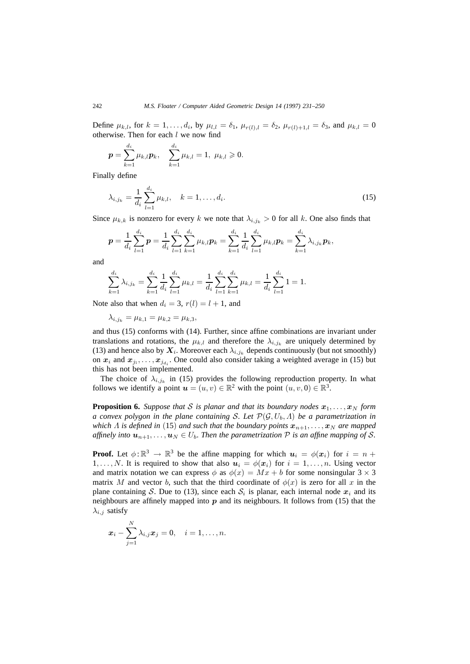Define  $\mu_{k,l}$ , for  $k = 1, ..., d_i$ , by  $\mu_{l,l} = \delta_1$ ,  $\mu_{r(l),l} = \delta_2$ ,  $\mu_{r(l)+1,l} = \delta_3$ , and  $\mu_{k,l} = 0$ otherwise. Then for each l we now find

$$
\boldsymbol{p} = \sum_{k=1}^{d_i} \mu_{k,l} \boldsymbol{p}_k, \quad \sum_{k=1}^{d_i} \mu_{k,l} = 1, \ \mu_{k,l} \geqslant 0.
$$

Finally define

$$
\lambda_{i,j_k} = \frac{1}{d_i} \sum_{l=1}^{d_i} \mu_{k,l}, \quad k = 1, \dots, d_i.
$$
 (15)

Since  $\mu_{k,k}$  is nonzero for every k we note that  $\lambda_{i,j,k} > 0$  for all k. One also finds that

$$
\boldsymbol{p} = \frac{1}{d_i} \sum_{l=1}^{d_i} \boldsymbol{p} = \frac{1}{d_i} \sum_{l=1}^{d_i} \sum_{k=1}^{d_i} \mu_{k,l} \boldsymbol{p}_k = \sum_{k=1}^{d_i} \frac{1}{d_i} \sum_{l=1}^{d_i} \mu_{k,l} \boldsymbol{p}_k = \sum_{k=1}^{d_i} \lambda_{i,j_k} \boldsymbol{p}_k,
$$

and

$$
\sum_{k=1}^{d_i} \lambda_{i,j_k} = \sum_{k=1}^{d_i} \frac{1}{d_i} \sum_{l=1}^{d_i} \mu_{k,l} = \frac{1}{d_i} \sum_{l=1}^{d_i} \sum_{k=1}^{d_i} \mu_{k,l} = \frac{1}{d_i} \sum_{l=1}^{d_i} 1 = 1.
$$

Note also that when  $d_i = 3$ ,  $r(l) = l + 1$ , and

 $\lambda_{i,j_k} = \mu_{k,1} = \mu_{k,2} = \mu_{k,3}$ 

and thus (15) conforms with (14). Further, since affine combinations are invariant under translations and rotations, the  $\mu_{k,l}$  and therefore the  $\lambda_{i,j_k}$  are uniquely determined by (13) and hence also by  $X_i$ . Moreover each  $\lambda_{i,j_k}$  depends continuously (but not smoothly) on  $x_i$  and  $x_{j_1}, \ldots, x_{j_d}$ . One could also consider taking a weighted average in (15) but this has not been implemented.

The choice of  $\lambda_{i,j_k}$  in (15) provides the following reproduction property. In what follows we identify a point  $u = (u, v) \in \mathbb{R}^2$  with the point  $(u, v, 0) \in \mathbb{R}^3$ .

**Proposition 6.** Suppose that S is planar and that its boundary nodes  $x_1, \ldots, x_N$  form *a convex polygon in the plane containing* S. Let  $\mathcal{P}(\mathcal{G}, U_b, \Lambda)$  be a parametrization in *which*  $\Lambda$  *is defined in* (15) *and such that the boundary points*  $x_{n+1},..., x_N$  *are mapped affinely into*  $u_{n+1},...,u_N \in U_b$ . Then the parametrization P is an affine mapping of S.

**Proof.** Let  $\phi: \mathbb{R}^3 \to \mathbb{R}^3$  be the affine mapping for which  $u_i = \phi(x_i)$  for  $i = n + 1$ 1,..., N. It is required to show that also  $u_i = \phi(x_i)$  for  $i = 1, \ldots, n$ . Using vector and matrix notation we can express  $\phi$  as  $\phi(x) = Mx + b$  for some nonsingular 3  $\times$  3 matrix M and vector b, such that the third coordinate of  $\phi(x)$  is zero for all x in the plane containing S. Due to (13), since each  $S_i$  is planar, each internal node  $x_i$  and its neighbours are affinely mapped into *p* and its neighbours. It follows from (15) that the  $\lambda_{i,j}$  satisfy

$$
\boldsymbol{x}_i-\sum_{j=1}^N\lambda_{i,j}\boldsymbol{x}_j=0,\quad i=1,\ldots,n.
$$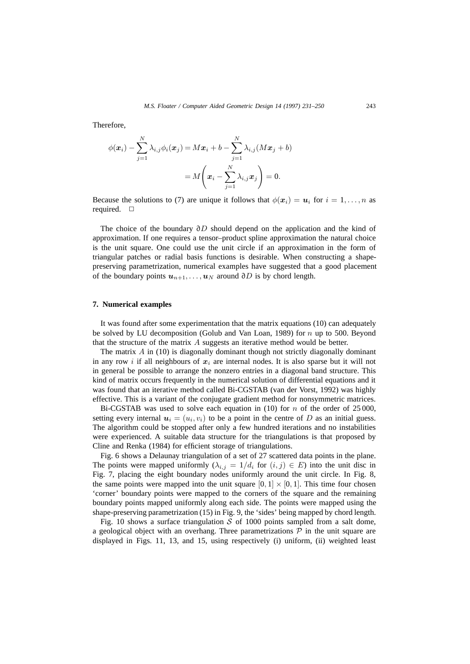Therefore,

$$
\phi(\boldsymbol{x}_i) - \sum_{j=1}^N \lambda_{i,j} \phi_i(\boldsymbol{x}_j) = M\boldsymbol{x}_i + b - \sum_{j=1}^N \lambda_{i,j} (M\boldsymbol{x}_j + b)
$$

$$
= M\left(\boldsymbol{x}_i - \sum_{j=1}^N \lambda_{i,j} \boldsymbol{x}_j\right) = 0.
$$

Because the solutions to (7) are unique it follows that  $\phi(\mathbf{x}_i) = \mathbf{u}_i$  for  $i = 1, \ldots, n$  as required.  $\square$ 

The choice of the boundary ∂D should depend on the application and the kind of approximation. If one requires a tensor–product spline approximation the natural choice is the unit square. One could use the unit circle if an approximation in the form of triangular patches or radial basis functions is desirable. When constructing a shapepreserving parametrization, numerical examples have suggested that a good placement of the boundary points  $u_{n+1}, \ldots, u_N$  around ∂D is by chord length.

#### **7. Numerical examples**

It was found after some experimentation that the matrix equations (10) can adequately be solved by LU decomposition (Golub and Van Loan, 1989) for  $n$  up to 500. Beyond that the structure of the matrix A suggests an iterative method would be better.

The matrix  $\hat{A}$  in (10) is diagonally dominant though not strictly diagonally dominant in any row i if all neighbours of  $x_i$  are internal nodes. It is also sparse but it will not in general be possible to arrange the nonzero entries in a diagonal band structure. This kind of matrix occurs frequently in the numerical solution of differential equations and it was found that an iterative method called Bi-CGSTAB (van der Vorst, 1992) was highly effective. This is a variant of the conjugate gradient method for nonsymmetric matrices.

Bi-CGSTAB was used to solve each equation in (10) for n of the order of 25 000, setting every internal  $u_i = (u_i, v_i)$  to be a point in the centre of D as an initial guess. The algorithm could be stopped after only a few hundred iterations and no instabilities were experienced. A suitable data structure for the triangulations is that proposed by Cline and Renka (1984) for efficient storage of triangulations.

Fig. 6 shows a Delaunay triangulation of a set of 27 scattered data points in the plane. The points were mapped uniformly  $(\lambda_{i,j} = 1/d_i \text{ for } (i,j) \in E)$  into the unit disc in Fig. 7, placing the eight boundary nodes uniformly around the unit circle. In Fig. 8, the same points were mapped into the unit square  $[0, 1] \times [0, 1]$ . This time four chosen 'corner' boundary points were mapped to the corners of the square and the remaining boundary points mapped uniformly along each side. The points were mapped using the shape-preserving parametrization (15) in Fig. 9, the 'sides' being mapped by chord length.

Fig. 10 shows a surface triangulation  $S$  of 1000 points sampled from a salt dome, a geological object with an overhang. Three parametrizations  $P$  in the unit square are displayed in Figs. 11, 13, and 15, using respectively (i) uniform, (ii) weighted least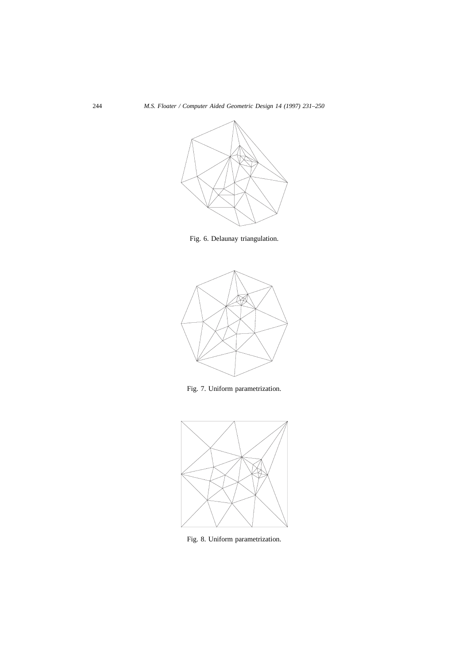

Fig. 6. Delaunay triangulation.



Fig. 7. Uniform parametrization.



Fig. 8. Uniform parametrization.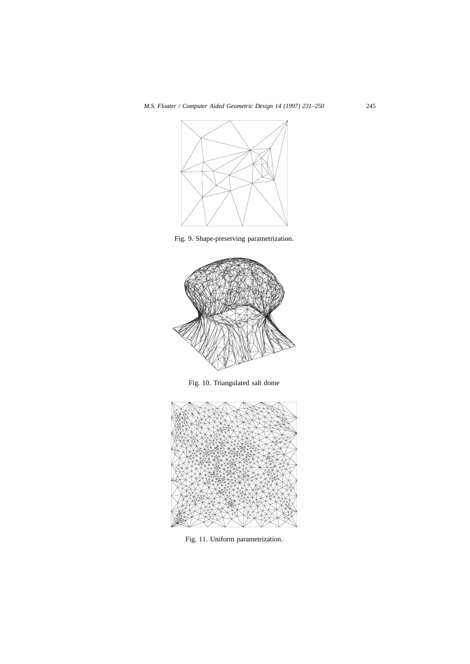

Fig. 9. Shape-preserving parametrization.



Fig. 10. Triangulated salt dome



Fig. 11. Uniform parametrization.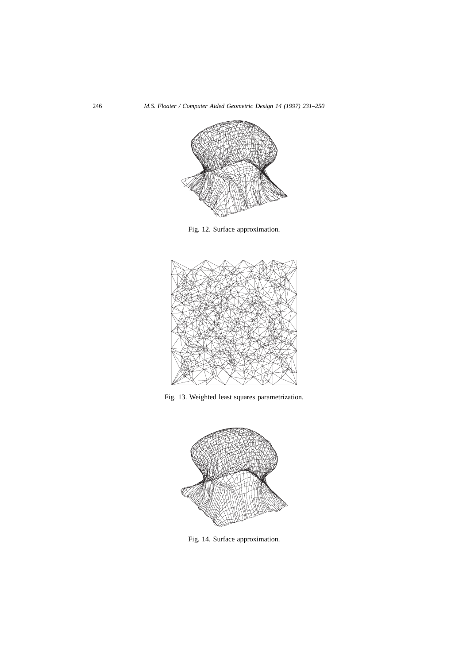

Fig. 12. Surface approximation.



Fig. 13. Weighted least squares parametrization.



Fig. 14. Surface approximation.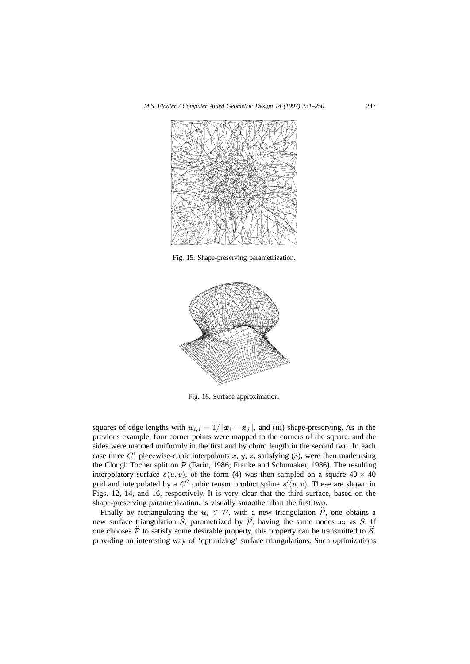

Fig. 15. Shape-preserving parametrization.



Fig. 16. Surface approximation.

squares of edge lengths with  $w_{i,j} = 1/||x_i - x_j||$ , and (iii) shape-preserving. As in the previous example, four corner points were mapped to the corners of the square, and the sides were mapped uniformly in the first and by chord length in the second two. In each case three  $C<sup>1</sup>$  piecewise-cubic interpolants x, y, z, satisfying (3), were then made using the Clough Tocher split on  $P$  (Farin, 1986; Franke and Schumaker, 1986). The resulting interpolatory surface  $s(u, v)$ , of the form (4) was then sampled on a square  $40 \times 40$ grid and interpolated by a  $C^2$  cubic tensor product spline  $s'(u, v)$ . These are shown in Figs. 12, 14, and 16, respectively. It is very clear that the third surface, based on the shape-preserving parametrization, is visually smoother than the first two.

Finally by retriangulating the  $u_i \in \mathcal{P}$ , with a new triangulation  $\hat{\mathcal{P}}$ , one obtains a new surface triangulation  $\hat{S}$ , parametrized by  $\hat{\mathcal{P}}$ , having the same nodes  $x_i$  as S. If one chooses  $\hat{P}$  to satisfy some desirable property, this property can be transmitted to  $\hat{S}$ , providing an interesting way of 'optimizing' surface triangulations. Such optimizations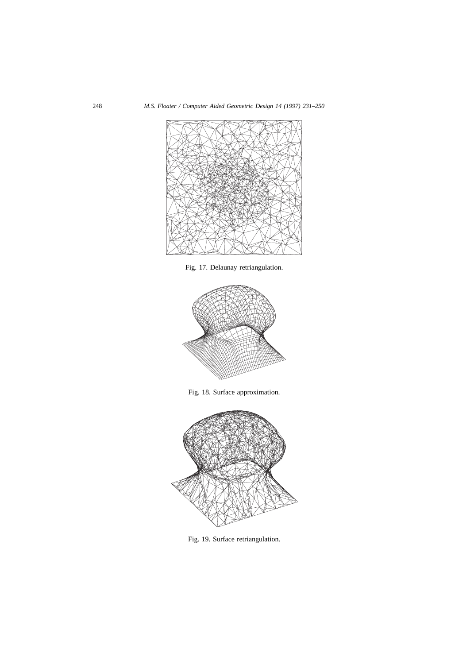

Fig. 17. Delaunay retriangulation.



Fig. 18. Surface approximation.



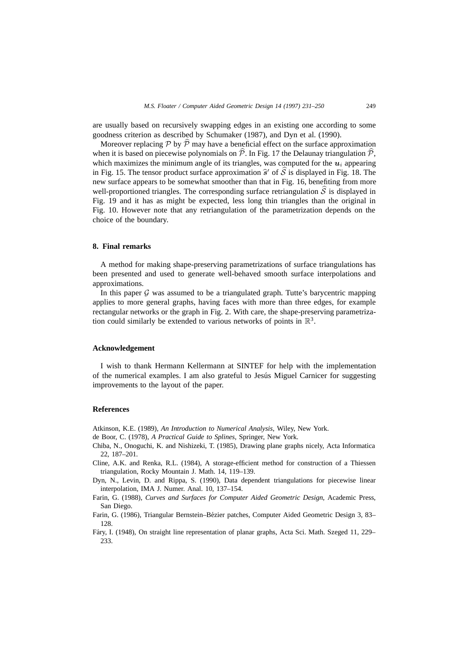are usually based on recursively swapping edges in an existing one according to some goodness criterion as described by Schumaker (1987), and Dyn et al. (1990).

Moreover replacing P by  $\hat{P}$  may have a beneficial effect on the surface approximation when it is based on piecewise polynomials on  $\hat{\mathcal{P}}$ . In Fig. 17 the Delaunay triangulation  $\hat{\mathcal{P}}$ , which maximizes the minimum angle of its triangles, was computed for the  $u_i$  appearing in Fig. 15. The tensor product surface approximation  $\hat{s}$ <sup>'</sup> of  $\hat{S}$  is displayed in Fig. 18. The new surface appears to be somewhat smoother than that in Fig. 16, benefiting from more well-proportioned triangles. The corresponding surface retriangulation  $\hat{S}$  is displayed in Fig. 19 and it has as might be expected, less long thin triangles than the original in Fig. 10. However note that any retriangulation of the parametrization depends on the choice of the boundary.

### **8. Final remarks**

A method for making shape-preserving parametrizations of surface triangulations has been presented and used to generate well-behaved smooth surface interpolations and approximations.

In this paper  $G$  was assumed to be a triangulated graph. Tutte's barycentric mapping applies to more general graphs, having faces with more than three edges, for example rectangular networks or the graph in Fig. 2. With care, the shape-preserving parametrization could similarly be extended to various networks of points in  $\mathbb{R}^3$ .

#### **Acknowledgement**

I wish to thank Hermann Kellermann at SINTEF for help with the implementation of the numerical examples. I am also grateful to Jesus Miguel Carnicer for suggesting ´ improvements to the layout of the paper.

#### **References**

Atkinson, K.E. (1989), *An Introduction to Numerical Analysis*, Wiley, New York.

- de Boor, C. (1978), *A Practical Guide to Splines*, Springer, New York.
- Chiba, N., Onoguchi, K. and Nishizeki, T. (1985), Drawing plane graphs nicely, Acta Informatica 22, 187–201.
- Cline, A.K. and Renka, R.L. (1984), A storage-efficient method for construction of a Thiessen triangulation, Rocky Mountain J. Math. 14, 119–139.
- Dyn, N., Levin, D. and Rippa, S. (1990), Data dependent triangulations for piecewise linear interpolation, IMA J. Numer. Anal. 10, 137–154.

Farin, G. (1988), *Curves and Surfaces for Computer Aided Geometric Design*, Academic Press, San Diego.

- Farin, G. (1986), Triangular Bernstein–Bezier patches, Computer Aided Geometric Design 3, 83– ´ 128.
- Fáry, I. (1948), On straight line representation of planar graphs, Acta Sci. Math. Szeged 11, 229-233.